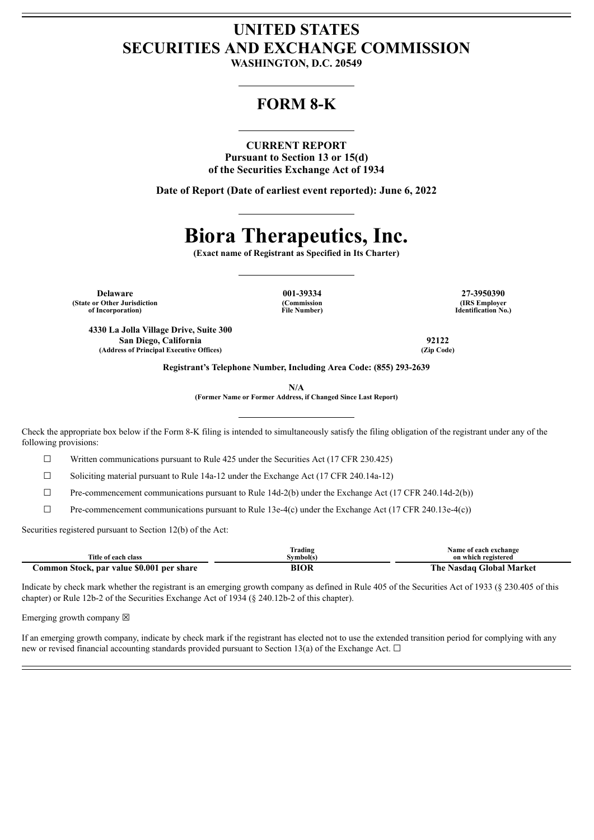## **UNITED STATES SECURITIES AND EXCHANGE COMMISSION**

**WASHINGTON, D.C. 20549**

### **FORM 8-K**

#### **CURRENT REPORT**

**Pursuant to Section 13 or 15(d) of the Securities Exchange Act of 1934**

**Date of Report (Date of earliest event reported): June 6, 2022**

# **Biora Therapeutics, Inc.**

**(Exact name of Registrant as Specified in Its Charter)**

**Delaware 001-39334 27-3950390 (State or Other Jurisdiction of Incorporation)**

**(Commission File Number)**

**(IRS Employer Identification No.)**

**4330 La Jolla Village Drive, Suite 300 San Diego, California 92122 (Address of Principal Executive Offices) (Zip Code)**

**Registrant's Telephone Number, Including Area Code: (855) 293-2639**

**N/A**

**(Former Name or Former Address, if Changed Since Last Report)**

Check the appropriate box below if the Form 8-K filing is intended to simultaneously satisfy the filing obligation of the registrant under any of the following provisions:

 $\Box$  Written communications pursuant to Rule 425 under the Securities Act (17 CFR 230.425)

 $\Box$  Soliciting material pursuant to Rule 14a-12 under the Exchange Act (17 CFR 240.14a-12)

 $\Box$  Pre-commencement communications pursuant to Rule 14d-2(b) under the Exchange Act (17 CFR 240.14d-2(b))

 $\Box$  Pre-commencement communications pursuant to Rule 13e-4(c) under the Exchange Act (17 CFR 240.13e-4(c))

Securities registered pursuant to Section 12(b) of the Act:

|                                           | rading]     | Name of each exchange    |
|-------------------------------------------|-------------|--------------------------|
| Title of each class                       | Svmbol(s)   | on which registered      |
| Common Stock, par value \$0.001 per share | <b>BIOR</b> | The Nasdaq Global Market |

Indicate by check mark whether the registrant is an emerging growth company as defined in Rule 405 of the Securities Act of 1933 (§ 230.405 of this chapter) or Rule 12b-2 of the Securities Exchange Act of 1934 (§ 240.12b-2 of this chapter).

Emerging growth company  $\boxtimes$ 

If an emerging growth company, indicate by check mark if the registrant has elected not to use the extended transition period for complying with any new or revised financial accounting standards provided pursuant to Section 13(a) of the Exchange Act.  $\Box$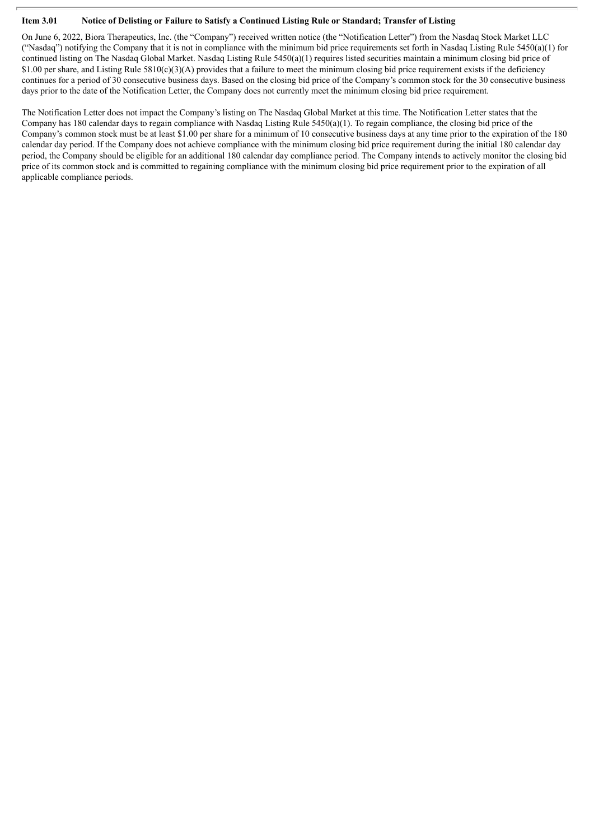#### Item 3.01 Notice of Delisting or Failure to Satisfy a Continued Listing Rule or Standard; Transfer of Listing

On June 6, 2022, Biora Therapeutics, Inc. (the "Company") received written notice (the "Notification Letter") from the Nasdaq Stock Market LLC ("Nasdaq") notifying the Company that it is not in compliance with the minimum bid price requirements set forth in Nasdaq Listing Rule 5450(a)(1) for continued listing on The Nasdaq Global Market. Nasdaq Listing Rule 5450(a)(1) requires listed securities maintain a minimum closing bid price of \$1.00 per share, and Listing Rule  $5810(c)(3)(A)$  provides that a failure to meet the minimum closing bid price requirement exists if the deficiency continues for a period of 30 consecutive business days. Based on the closing bid price of the Company's common stock for the 30 consecutive business days prior to the date of the Notification Letter, the Company does not currently meet the minimum closing bid price requirement.

The Notification Letter does not impact the Company's listing on The Nasdaq Global Market at this time. The Notification Letter states that the Company has 180 calendar days to regain compliance with Nasdaq Listing Rule  $5450(a)(1)$ . To regain compliance, the closing bid price of the Company's common stock must be at least \$1.00 per share for a minimum of 10 consecutive business days at any time prior to the expiration of the 180 calendar day period. If the Company does not achieve compliance with the minimum closing bid price requirement during the initial 180 calendar day period, the Company should be eligible for an additional 180 calendar day compliance period. The Company intends to actively monitor the closing bid price of its common stock and is committed to regaining compliance with the minimum closing bid price requirement prior to the expiration of all applicable compliance periods.